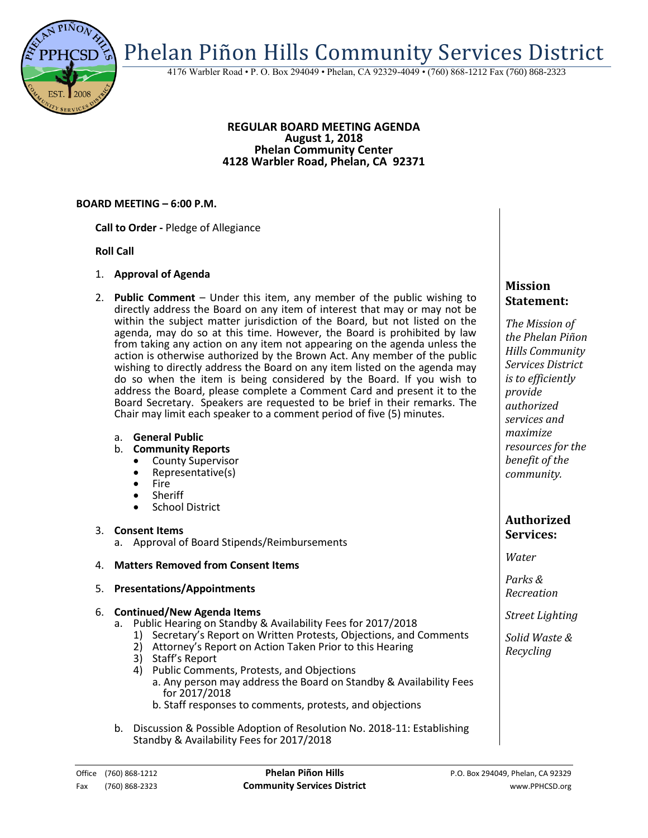Phelan Piñon Hills Community Services District

4176 Warbler Road • P. O. Box 294049 • Phelan, CA 92329-4049 • (760) 868-1212 Fax (760) 868-2323

### **REGULAR BOARD MEETING AGENDA August 1, 2018 Phelan Community Center 4128 Warbler Road, Phelan, CA 92371**

### **BOARD MEETING – 6:00 P.M.**

**Call to Order -** Pledge of Allegiance

### **Roll Call**

- 1. **Approval of Agenda**
- 2. **Public Comment**  Under this item, any member of the public wishing to directly address the Board on any item of interest that may or may not be within the subject matter jurisdiction of the Board, but not listed on the agenda, may do so at this time. However, the Board is prohibited by law from taking any action on any item not appearing on the agenda unless the action is otherwise authorized by the Brown Act. Any member of the public wishing to directly address the Board on any item listed on the agenda may do so when the item is being considered by the Board. If you wish to address the Board, please complete a Comment Card and present it to the Board Secretary. Speakers are requested to be brief in their remarks. The Chair may limit each speaker to a comment period of five (5) minutes.

#### a. **General Public**

- b. **Community Reports**
	- County Supervisor
	- Representative(s)
	- Fire
	- Sheriff
	- **•** School District

### 3. **Consent Items**

a. Approval of Board Stipends/Reimbursements

### 4. **Matters Removed from Consent Items**

5. **Presentations/Appointments**

### 6. **Continued/New Agenda Items**

- a. Public Hearing on Standby & Availability Fees for 2017/2018
	- 1) Secretary's Report on Written Protests, Objections, and Comments
	- 2) Attorney's Report on Action Taken Prior to this Hearing
	- 3) Staff's Report
	- 4) Public Comments, Protests, and Objections
		- a. Any person may address the Board on Standby & Availability Fees for 2017/2018
		- b. Staff responses to comments, protests, and objections
- b. Discussion & Possible Adoption of Resolution No. 2018-11: Establishing Standby & Availability Fees for 2017/2018

# **Mission Statement:**

*The Mission of the Phelan Piñon Hills Community Services District is to efficiently provide authorized services and maximize resources for the benefit of the community.*

## **Authorized Services:**

*Water*

*Parks & Recreation*

*Street Lighting*

*Solid Waste & Recycling*